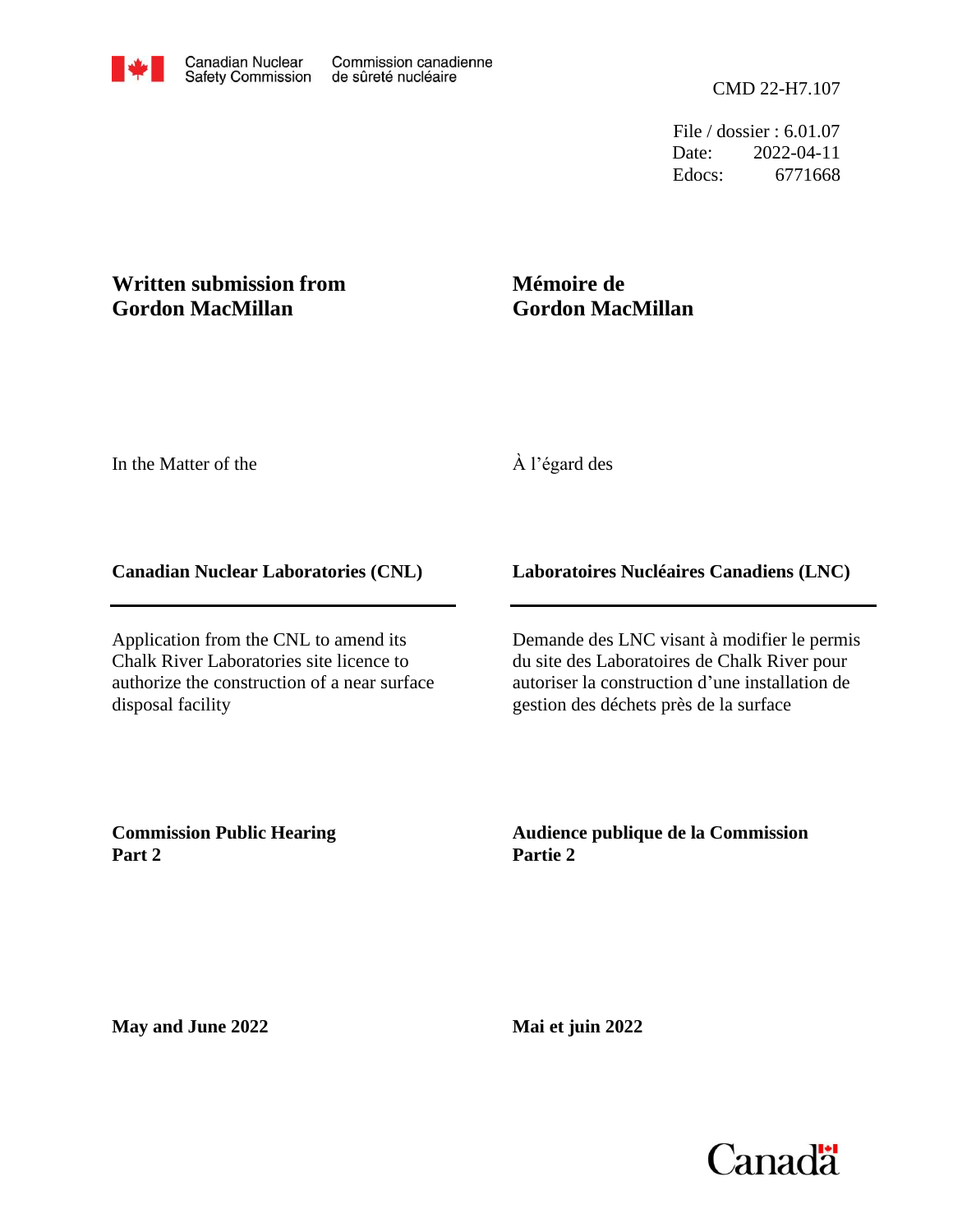File / dossier : 6.01.07 Date: 2022-04-11 Edocs: 6771668

## **Written submission from Gordon MacMillan**

# **Mémoire de Gordon MacMillan**

In the Matter of the

## À l'égard des

#### **Canadian Nuclear Laboratories (CNL)**

Application from the CNL to amend its Chalk River Laboratories site licence to authorize the construction of a near surface disposal facility

### **Laboratoires Nucléaires Canadiens (LNC)**

Demande des LNC visant à modifier le permis du site des Laboratoires de Chalk River pour autoriser la construction d'une installation de gestion des déchets près de la surface

**Commission Public Hearing Part 2**

**Audience publique de la Commission Partie 2**

**May and June 2022**

**Mai et juin 2022**